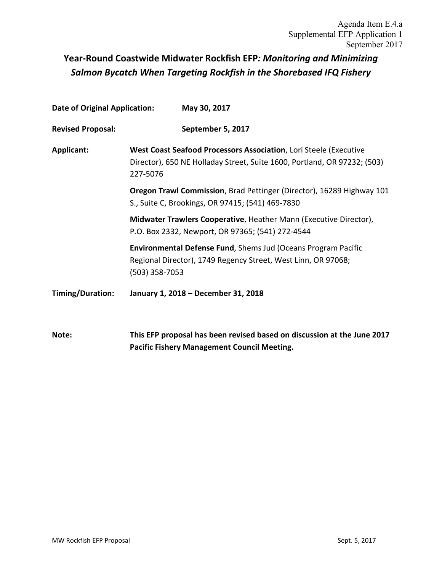# **Year-Round Coastwide Midwater Rockfish EFP***: Monitoring and Minimizing Salmon Bycatch When Targeting Rockfish in the Shorebased IFQ Fishery*

| <b>Date of Original Application:</b> |                                                                                                                                                           | May 30, 2017                                                                                                                   |  |  |  |  |
|--------------------------------------|-----------------------------------------------------------------------------------------------------------------------------------------------------------|--------------------------------------------------------------------------------------------------------------------------------|--|--|--|--|
| <b>Revised Proposal:</b>             |                                                                                                                                                           | September 5, 2017                                                                                                              |  |  |  |  |
| Applicant:                           | West Coast Seafood Processors Association, Lori Steele (Executive<br>Director), 650 NE Holladay Street, Suite 1600, Portland, OR 97232; (503)<br>227-5076 |                                                                                                                                |  |  |  |  |
|                                      |                                                                                                                                                           | Oregon Trawl Commission, Brad Pettinger (Director), 16289 Highway 101<br>S., Suite C, Brookings, OR 97415; (541) 469-7830      |  |  |  |  |
|                                      |                                                                                                                                                           | Midwater Trawlers Cooperative, Heather Mann (Executive Director),<br>P.O. Box 2332, Newport, OR 97365; (541) 272-4544          |  |  |  |  |
|                                      | (503) 358-7053                                                                                                                                            | Environmental Defense Fund, Shems Jud (Oceans Program Pacific<br>Regional Director), 1749 Regency Street, West Linn, OR 97068; |  |  |  |  |
| Timing/Duration:                     | January 1, 2018 - December 31, 2018                                                                                                                       |                                                                                                                                |  |  |  |  |
| Note:                                |                                                                                                                                                           | This EFP proposal has been revised based on discussion at the June 2017<br><b>Pacific Fishery Management Council Meeting.</b>  |  |  |  |  |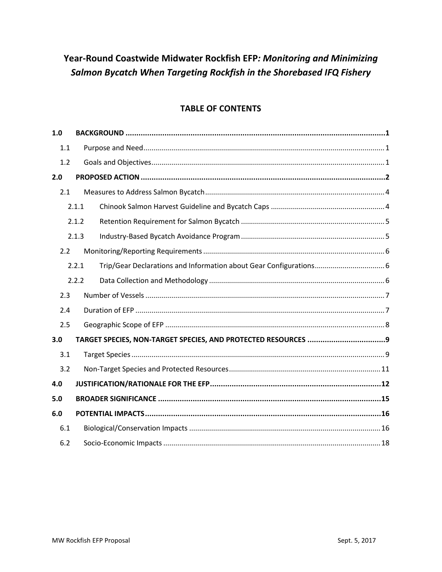# Year-Round Coastwide Midwater Rockfish EFP: Monitoring and Minimizing Salmon Bycatch When Targeting Rockfish in the Shorebased IFQ Fishery

# **TABLE OF CONTENTS**

| 1.0 |       |  |
|-----|-------|--|
| 1.1 |       |  |
| 1.2 |       |  |
| 2.0 |       |  |
| 2.1 |       |  |
|     | 2.1.1 |  |
|     | 2.1.2 |  |
|     | 2.1.3 |  |
| 2.2 |       |  |
|     | 2.2.1 |  |
|     | 2.2.2 |  |
| 2.3 |       |  |
| 2.4 |       |  |
| 2.5 |       |  |
| 3.0 |       |  |
| 3.1 |       |  |
| 3.2 |       |  |
| 4.0 |       |  |
| 5.0 |       |  |
| 6.0 |       |  |
| 6.1 |       |  |
| 6.2 |       |  |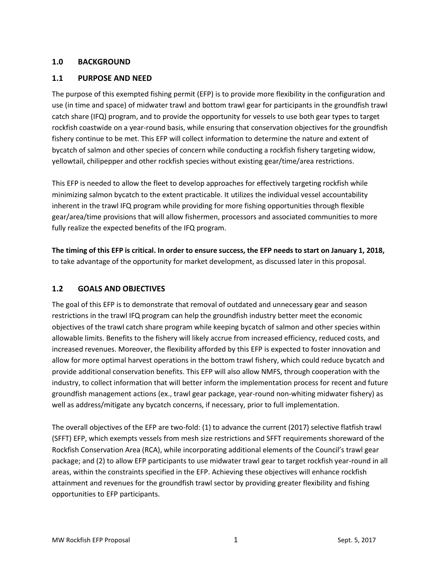#### <span id="page-2-0"></span>**1.0 BACKGROUND**

#### <span id="page-2-1"></span>**1.1 PURPOSE AND NEED**

The purpose of this exempted fishing permit (EFP) is to provide more flexibility in the configuration and use (in time and space) of midwater trawl and bottom trawl gear for participants in the groundfish trawl catch share (IFQ) program, and to provide the opportunity for vessels to use both gear types to target rockfish coastwide on a year-round basis, while ensuring that conservation objectives for the groundfish fishery continue to be met. This EFP will collect information to determine the nature and extent of bycatch of salmon and other species of concern while conducting a rockfish fishery targeting widow, yellowtail, chilipepper and other rockfish species without existing gear/time/area restrictions.

This EFP is needed to allow the fleet to develop approaches for effectively targeting rockfish while minimizing salmon bycatch to the extent practicable. It utilizes the individual vessel accountability inherent in the trawl IFQ program while providing for more fishing opportunities through flexible gear/area/time provisions that will allow fishermen, processors and associated communities to more fully realize the expected benefits of the IFQ program.

**The timing of this EFP is critical. In order to ensure success, the EFP needs to start on January 1, 2018,** to take advantage of the opportunity for market development, as discussed later in this proposal.

#### <span id="page-2-2"></span>**1.2 GOALS AND OBJECTIVES**

The goal of this EFP is to demonstrate that removal of outdated and unnecessary gear and season restrictions in the trawl IFQ program can help the groundfish industry better meet the economic objectives of the trawl catch share program while keeping bycatch of salmon and other species within allowable limits. Benefits to the fishery will likely accrue from increased efficiency, reduced costs, and increased revenues. Moreover, the flexibility afforded by this EFP is expected to foster innovation and allow for more optimal harvest operations in the bottom trawl fishery, which could reduce bycatch and provide additional conservation benefits. This EFP will also allow NMFS, through cooperation with the industry, to collect information that will better inform the implementation process for recent and future groundfish management actions (ex., trawl gear package, year-round non-whiting midwater fishery) as well as address/mitigate any bycatch concerns, if necessary, prior to full implementation.

The overall objectives of the EFP are two-fold: (1) to advance the current (2017) selective flatfish trawl (SFFT) EFP, which exempts vessels from mesh size restrictions and SFFT requirements shoreward of the Rockfish Conservation Area (RCA), while incorporating additional elements of the Council's trawl gear package; and (2) to allow EFP participants to use midwater trawl gear to target rockfish year-round in all areas, within the constraints specified in the EFP. Achieving these objectives will enhance rockfish attainment and revenues for the groundfish trawl sector by providing greater flexibility and fishing opportunities to EFP participants.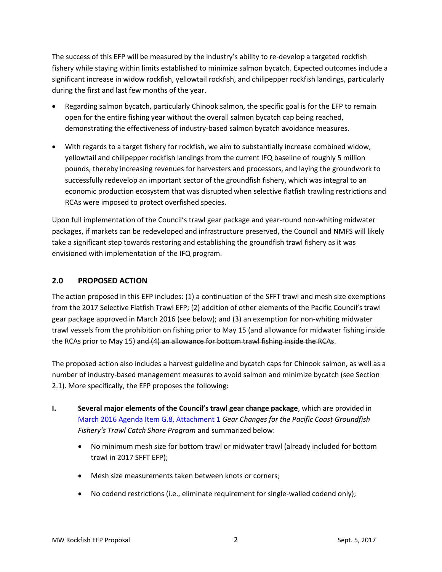The success of this EFP will be measured by the industry's ability to re-develop a targeted rockfish fishery while staying within limits established to minimize salmon bycatch. Expected outcomes include a significant increase in widow rockfish, yellowtail rockfish, and chilipepper rockfish landings, particularly during the first and last few months of the year.

- Regarding salmon bycatch, particularly Chinook salmon, the specific goal is for the EFP to remain open for the entire fishing year without the overall salmon bycatch cap being reached, demonstrating the effectiveness of industry-based salmon bycatch avoidance measures.
- With regards to a target fishery for rockfish, we aim to substantially increase combined widow, yellowtail and chilipepper rockfish landings from the current IFQ baseline of roughly 5 million pounds, thereby increasing revenues for harvesters and processors, and laying the groundwork to successfully redevelop an important sector of the groundfish fishery, which was integral to an economic production ecosystem that was disrupted when selective flatfish trawling restrictions and RCAs were imposed to protect overfished species.

Upon full implementation of the Council's trawl gear package and year-round non-whiting midwater packages, if markets can be redeveloped and infrastructure preserved, the Council and NMFS will likely take a significant step towards restoring and establishing the groundfish trawl fishery as it was envisioned with implementation of the IFQ program.

## <span id="page-3-0"></span>**2.0 PROPOSED ACTION**

The action proposed in this EFP includes: (1) a continuation of the SFFT trawl and mesh size exemptions from the 2017 Selective Flatfish Trawl EFP; (2) addition of other elements of the Pacific Council's trawl gear package approved in March 2016 (see below); and (3) an exemption for non-whiting midwater trawl vessels from the prohibition on fishing prior to May 15 (and allowance for midwater fishing inside the RCAs prior to May 15) and (4) an allowance for bottom trawl fishing inside the RCAs.

The proposed action also includes a harvest guideline and bycatch caps for Chinook salmon, as well as a number of industry-based management measures to avoid salmon and minimize bycatch (see Section [2.1\)](#page-5-0). More specifically, the EFP proposes the following:

- **I. Several major elements of the Council's trawl gear change package**, which are provided in [March 2016 Agenda Item G.8, Attachment 1](http://www.pcouncil.org/wp-content/uploads/2016/02/G8_Att1_FullVersion_Prelim_GF_GearDEIS_E-Only_MAR2016BB.pdf) *Gear Changes for the Pacific Coast Groundfish Fishery's Trawl Catch Share Program* and summarized below:
	- No minimum mesh size for bottom trawl or midwater trawl (already included for bottom trawl in 2017 SFFT EFP);
	- Mesh size measurements taken between knots or corners;
	- No codend restrictions (i.e., eliminate requirement for single-walled codend only);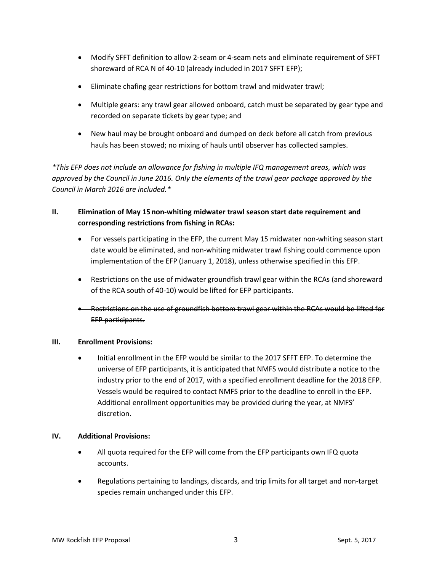- Modify SFFT definition to allow 2-seam or 4-seam nets and eliminate requirement of SFFT shoreward of RCA N of 40-10 (already included in 2017 SFFT EFP);
- Eliminate chafing gear restrictions for bottom trawl and midwater trawl;
- Multiple gears: any trawl gear allowed onboard, catch must be separated by gear type and recorded on separate tickets by gear type; and
- New haul may be brought onboard and dumped on deck before all catch from previous hauls has been stowed; no mixing of hauls until observer has collected samples.

*\*This EFP does not include an allowance for fishing in multiple IFQ management areas, which was approved by the Council in June 2016. Only the elements of the trawl gear package approved by the Council in March 2016 are included.\**

# **II. Elimination of May 15 non-whiting midwater trawl season start date requirement and corresponding restrictions from fishing in RCAs:**

- For vessels participating in the EFP, the current May 15 midwater non-whiting season start date would be eliminated, and non-whiting midwater trawl fishing could commence upon implementation of the EFP (January 1, 2018), unless otherwise specified in this EFP.
- Restrictions on the use of midwater groundfish trawl gear within the RCAs (and shoreward of the RCA south of 40-10) would be lifted for EFP participants.
- Restrictions on the use of groundfish bottom trawl gear within the RCAs would be lifted for EFP participants.

#### **III. Enrollment Provisions:**

 Initial enrollment in the EFP would be similar to the 2017 SFFT EFP. To determine the universe of EFP participants, it is anticipated that NMFS would distribute a notice to the industry prior to the end of 2017, with a specified enrollment deadline for the 2018 EFP. Vessels would be required to contact NMFS prior to the deadline to enroll in the EFP. Additional enrollment opportunities may be provided during the year, at NMFS' discretion.

#### **IV. Additional Provisions:**

- All quota required for the EFP will come from the EFP participants own IFQ quota accounts.
- Regulations pertaining to landings, discards, and trip limits for all target and non-target species remain unchanged under this EFP.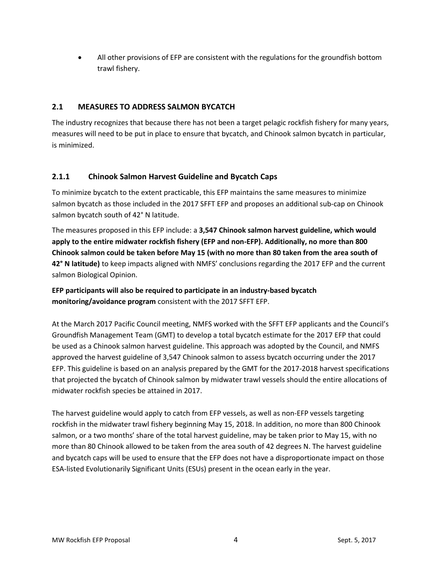All other provisions of EFP are consistent with the regulations for the groundfish bottom trawl fishery.

# <span id="page-5-0"></span>**2.1 MEASURES TO ADDRESS SALMON BYCATCH**

The industry recognizes that because there has not been a target pelagic rockfish fishery for many years, measures will need to be put in place to ensure that bycatch, and Chinook salmon bycatch in particular, is minimized.

## <span id="page-5-1"></span>**2.1.1 Chinook Salmon Harvest Guideline and Bycatch Caps**

To minimize bycatch to the extent practicable, this EFP maintains the same measures to minimize salmon bycatch as those included in the 2017 SFFT EFP and proposes an additional sub-cap on Chinook salmon bycatch south of 42° N latitude.

The measures proposed in this EFP include: a **3,547 Chinook salmon harvest guideline, which would apply to the entire midwater rockfish fishery (EFP and non-EFP). Additionally, no more than 800 Chinook salmon could be taken before May 15 (with no more than 80 taken from the area south of 42° N latitude)** to keep impacts aligned with NMFS' conclusions regarding the 2017 EFP and the current salmon Biological Opinion.

**EFP participants will also be required to participate in an industry-based bycatch monitoring/avoidance program** consistent with the 2017 SFFT EFP.

At the March 2017 Pacific Council meeting, NMFS worked with the SFFT EFP applicants and the Council's Groundfish Management Team (GMT) to develop a total bycatch estimate for the 2017 EFP that could be used as a Chinook salmon harvest guideline. This approach was adopted by the Council, and NMFS approved the harvest guideline of 3,547 Chinook salmon to assess bycatch occurring under the 2017 EFP. This guideline is based on an analysis prepared by the GMT for the 2017-2018 harvest specifications that projected the bycatch of Chinook salmon by midwater trawl vessels should the entire allocations of midwater rockfish species be attained in 2017.

The harvest guideline would apply to catch from EFP vessels, as well as non-EFP vessels targeting rockfish in the midwater trawl fishery beginning May 15, 2018. In addition, no more than 800 Chinook salmon, or a two months' share of the total harvest guideline, may be taken prior to May 15, with no more than 80 Chinook allowed to be taken from the area south of 42 degrees N. The harvest guideline and bycatch caps will be used to ensure that the EFP does not have a disproportionate impact on those ESA-listed Evolutionarily Significant Units (ESUs) present in the ocean early in the year.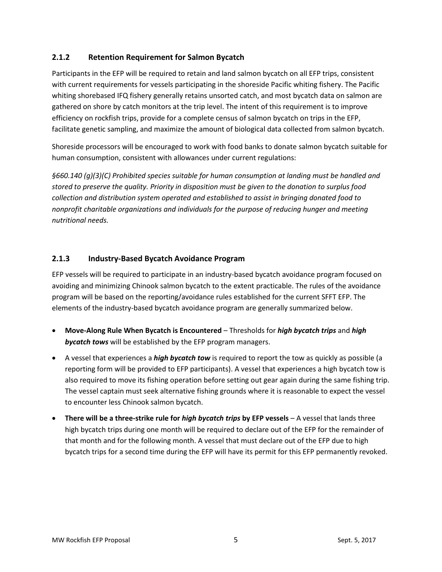# <span id="page-6-0"></span>**2.1.2 Retention Requirement for Salmon Bycatch**

Participants in the EFP will be required to retain and land salmon bycatch on all EFP trips, consistent with current requirements for vessels participating in the shoreside Pacific whiting fishery. The Pacific whiting shorebased IFQ fishery generally retains unsorted catch, and most bycatch data on salmon are gathered on shore by catch monitors at the trip level. The intent of this requirement is to improve efficiency on rockfish trips, provide for a complete census of salmon bycatch on trips in the EFP, facilitate genetic sampling, and maximize the amount of biological data collected from salmon bycatch.

Shoreside processors will be encouraged to work with food banks to donate salmon bycatch suitable for human consumption, consistent with allowances under current regulations:

*§660.140 (g)(3)(C) Prohibited species suitable for human consumption at landing must be handled and stored to preserve the quality. Priority in disposition must be given to the donation to surplus food collection and distribution system operated and established to assist in bringing donated food to nonprofit charitable organizations and individuals for the purpose of reducing hunger and meeting nutritional needs.*

## <span id="page-6-1"></span>**2.1.3 Industry-Based Bycatch Avoidance Program**

EFP vessels will be required to participate in an industry-based bycatch avoidance program focused on avoiding and minimizing Chinook salmon bycatch to the extent practicable. The rules of the avoidance program will be based on the reporting/avoidance rules established for the current SFFT EFP. The elements of the industry-based bycatch avoidance program are generally summarized below.

- **Move-Along Rule When Bycatch is Encountered** Thresholds for *high bycatch trips* and *high bycatch tows* will be established by the EFP program managers.
- A vessel that experiences a *high bycatch tow* is required to report the tow as quickly as possible (a reporting form will be provided to EFP participants). A vessel that experiences a high bycatch tow is also required to move its fishing operation before setting out gear again during the same fishing trip. The vessel captain must seek alternative fishing grounds where it is reasonable to expect the vessel to encounter less Chinook salmon bycatch.
- **There will be a three-strike rule for** *high bycatch trips* **by EFP vessels** A vessel that lands three high bycatch trips during one month will be required to declare out of the EFP for the remainder of that month and for the following month. A vessel that must declare out of the EFP due to high bycatch trips for a second time during the EFP will have its permit for this EFP permanently revoked.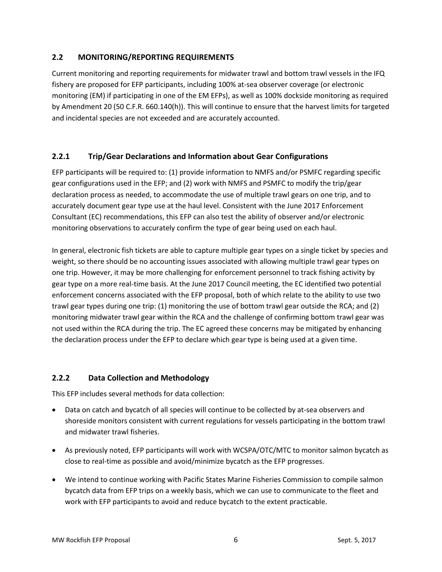# <span id="page-7-0"></span>**2.2 MONITORING/REPORTING REQUIREMENTS**

Current monitoring and reporting requirements for midwater trawl and bottom trawl vessels in the IFQ fishery are proposed for EFP participants, including 100% at-sea observer coverage (or electronic monitoring (EM) if participating in one of the EM EFPs), as well as 100% dockside monitoring as required by Amendment 20 (50 C.F.R. 660.140(h)). This will continue to ensure that the harvest limits for targeted and incidental species are not exceeded and are accurately accounted.

## <span id="page-7-1"></span>**2.2.1 Trip/Gear Declarations and Information about Gear Configurations**

EFP participants will be required to: (1) provide information to NMFS and/or PSMFC regarding specific gear configurations used in the EFP; and (2) work with NMFS and PSMFC to modify the trip/gear declaration process as needed, to accommodate the use of multiple trawl gears on one trip, and to accurately document gear type use at the haul level. Consistent with the June 2017 Enforcement Consultant (EC) recommendations, this EFP can also test the ability of observer and/or electronic monitoring observations to accurately confirm the type of gear being used on each haul.

In general, electronic fish tickets are able to capture multiple gear types on a single ticket by species and weight, so there should be no accounting issues associated with allowing multiple trawl gear types on one trip. However, it may be more challenging for enforcement personnel to track fishing activity by gear type on a more real-time basis. At the June 2017 Council meeting, the EC identified two potential enforcement concerns associated with the EFP proposal, both of which relate to the ability to use two trawl gear types during one trip: (1) monitoring the use of bottom trawl gear outside the RCA; and (2) monitoring midwater trawl gear within the RCA and the challenge of confirming bottom trawl gear was not used within the RCA during the trip. The EC agreed these concerns may be mitigated by enhancing the declaration process under the EFP to declare which gear type is being used at a given time.

#### <span id="page-7-2"></span>**2.2.2 Data Collection and Methodology**

This EFP includes several methods for data collection:

- Data on catch and bycatch of all species will continue to be collected by at-sea observers and shoreside monitors consistent with current regulations for vessels participating in the bottom trawl and midwater trawl fisheries.
- As previously noted, EFP participants will work with WCSPA/OTC/MTC to monitor salmon bycatch as close to real-time as possible and avoid/minimize bycatch as the EFP progresses.
- We intend to continue working with Pacific States Marine Fisheries Commission to compile salmon bycatch data from EFP trips on a weekly basis, which we can use to communicate to the fleet and work with EFP participants to avoid and reduce bycatch to the extent practicable.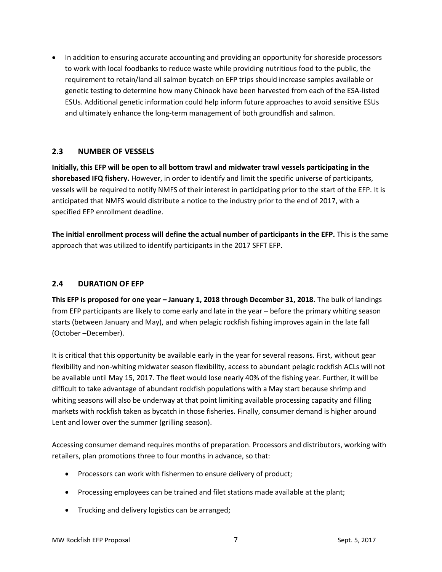• In addition to ensuring accurate accounting and providing an opportunity for shoreside processors to work with local foodbanks to reduce waste while providing nutritious food to the public, the requirement to retain/land all salmon bycatch on EFP trips should increase samples available or genetic testing to determine how many Chinook have been harvested from each of the ESA-listed ESUs. Additional genetic information could help inform future approaches to avoid sensitive ESUs and ultimately enhance the long-term management of both groundfish and salmon.

#### <span id="page-8-0"></span>**2.3 NUMBER OF VESSELS**

**Initially, this EFP will be open to all bottom trawl and midwater trawl vessels participating in the shorebased IFQ fishery.** However, in order to identify and limit the specific universe of participants, vessels will be required to notify NMFS of their interest in participating prior to the start of the EFP. It is anticipated that NMFS would distribute a notice to the industry prior to the end of 2017, with a specified EFP enrollment deadline.

**The initial enrollment process will define the actual number of participants in the EFP.** This is the same approach that was utilized to identify participants in the 2017 SFFT EFP.

#### <span id="page-8-1"></span>**2.4 DURATION OF EFP**

**This EFP is proposed for one year – January 1, 2018 through December 31, 2018.** The bulk of landings from EFP participants are likely to come early and late in the year – before the primary whiting season starts (between January and May), and when pelagic rockfish fishing improves again in the late fall (October –December).

It is critical that this opportunity be available early in the year for several reasons. First, without gear flexibility and non-whiting midwater season flexibility, access to abundant pelagic rockfish ACLs will not be available until May 15, 2017. The fleet would lose nearly 40% of the fishing year. Further, it will be difficult to take advantage of abundant rockfish populations with a May start because shrimp and whiting seasons will also be underway at that point limiting available processing capacity and filling markets with rockfish taken as bycatch in those fisheries. Finally, consumer demand is higher around Lent and lower over the summer (grilling season).

Accessing consumer demand requires months of preparation. Processors and distributors, working with retailers, plan promotions three to four months in advance, so that:

- Processors can work with fishermen to ensure delivery of product;
- Processing employees can be trained and filet stations made available at the plant;
- Trucking and delivery logistics can be arranged;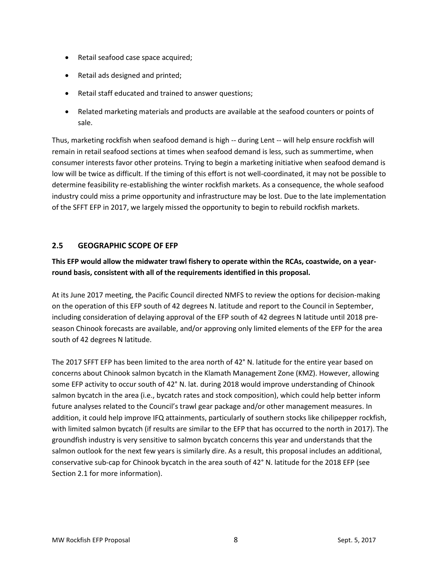- Retail seafood case space acquired;
- Retail ads designed and printed;
- Retail staff educated and trained to answer questions;
- Related marketing materials and products are available at the seafood counters or points of sale.

Thus, marketing rockfish when seafood demand is high -- during Lent -- will help ensure rockfish will remain in retail seafood sections at times when seafood demand is less, such as summertime, when consumer interests favor other proteins. Trying to begin a marketing initiative when seafood demand is low will be twice as difficult. If the timing of this effort is not well-coordinated, it may not be possible to determine feasibility re-establishing the winter rockfish markets. As a consequence, the whole seafood industry could miss a prime opportunity and infrastructure may be lost. Due to the late implementation of the SFFT EFP in 2017, we largely missed the opportunity to begin to rebuild rockfish markets.

# <span id="page-9-0"></span>**2.5 GEOGRAPHIC SCOPE OF EFP**

# **This EFP would allow the midwater trawl fishery to operate within the RCAs, coastwide, on a yearround basis, consistent with all of the requirements identified in this proposal.**

At its June 2017 meeting, the Pacific Council directed NMFS to review the options for decision-making on the operation of this EFP south of 42 degrees N. latitude and report to the Council in September, including consideration of delaying approval of the EFP south of 42 degrees N latitude until 2018 preseason Chinook forecasts are available, and/or approving only limited elements of the EFP for the area south of 42 degrees N latitude.

The 2017 SFFT EFP has been limited to the area north of 42° N. latitude for the entire year based on concerns about Chinook salmon bycatch in the Klamath Management Zone (KMZ). However, allowing some EFP activity to occur south of 42° N. lat. during 2018 would improve understanding of Chinook salmon bycatch in the area (i.e., bycatch rates and stock composition), which could help better inform future analyses related to the Council's trawl gear package and/or other management measures. In addition, it could help improve IFQ attainments, particularly of southern stocks like chilipepper rockfish, with limited salmon bycatch (if results are similar to the EFP that has occurred to the north in 2017). The groundfish industry is very sensitive to salmon bycatch concerns this year and understands that the salmon outlook for the next few years is similarly dire. As a result, this proposal includes an additional, conservative sub-cap for Chinook bycatch in the area south of 42° N. latitude for the 2018 EFP (see Sectio[n 2.1](#page-5-0) for more information).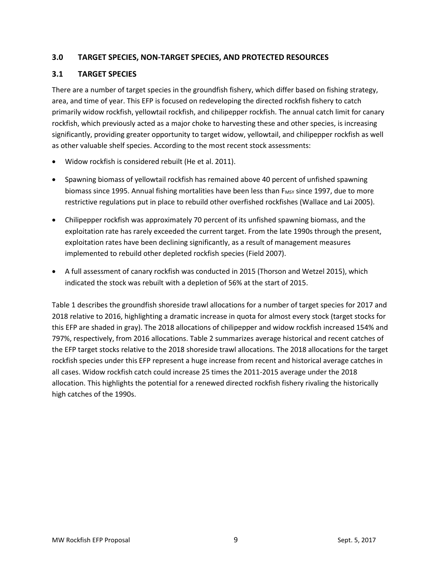## <span id="page-10-0"></span>**3.0 TARGET SPECIES, NON-TARGET SPECIES, AND PROTECTED RESOURCES**

## <span id="page-10-1"></span>**3.1 TARGET SPECIES**

There are a number of target species in the groundfish fishery, which differ based on fishing strategy, area, and time of year. This EFP is focused on redeveloping the directed rockfish fishery to catch primarily widow rockfish, yellowtail rockfish, and chilipepper rockfish. The annual catch limit for canary rockfish, which previously acted as a major choke to harvesting these and other species, is increasing significantly, providing greater opportunity to target widow, yellowtail, and chilipepper rockfish as well as other valuable shelf species. According to the most recent stock assessments:

- Widow rockfish is considered rebuilt (He et al. 2011).
- Spawning biomass of yellowtail rockfish has remained above 40 percent of unfished spawning biomass since 1995. Annual fishing mortalities have been less than F<sub>MSY</sub> since 1997, due to more restrictive regulations put in place to rebuild other overfished rockfishes (Wallace and Lai 2005).
- Chilipepper rockfish was approximately 70 percent of its unfished spawning biomass, and the exploitation rate has rarely exceeded the current target. From the late 1990s through the present, exploitation rates have been declining significantly, as a result of management measures implemented to rebuild other depleted rockfish species (Field 2007).
- A full assessment of canary rockfish was conducted in 2015 (Thorson and Wetzel 2015), which indicated the stock was rebuilt with a depletion of 56% at the start of 2015.

[Table 1](#page-11-0) describes the groundfish shoreside trawl allocations for a number of target species for 2017 and 2018 relative to 2016, highlighting a dramatic increase in quota for almost every stock (target stocks for this EFP are shaded in gray). The 2018 allocations of chilipepper and widow rockfish increased 154% and 797%, respectively, from 2016 allocations. Table 2 summarizes average historical and recent catches of the EFP target stocks relative to the 2018 shoreside trawl allocations. The 2018 allocations for the target rockfish species under this EFP represent a huge increase from recent and historical average catches in all cases. Widow rockfish catch could increase 25 times the 2011-2015 average under the 2018 allocation. This highlights the potential for a renewed directed rockfish fishery rivaling the historically high catches of the 1990s.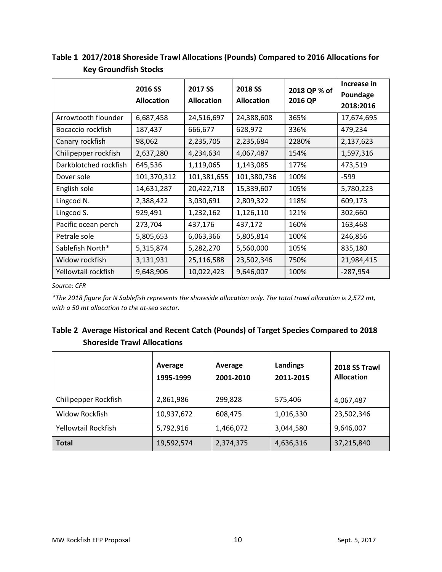|                       | 2016 SS<br><b>Allocation</b> | 2017 SS<br><b>Allocation</b> | 2018 SS<br><b>Allocation</b> | 2018 QP % of<br>2016 QP | Increase in<br>Poundage<br>2018:2016 |
|-----------------------|------------------------------|------------------------------|------------------------------|-------------------------|--------------------------------------|
| Arrowtooth flounder   | 6,687,458                    | 24,516,697                   | 24,388,608                   | 365%                    | 17,674,695                           |
| Bocaccio rockfish     | 187,437                      | 666,677                      | 628,972                      | 336%                    | 479,234                              |
| Canary rockfish       | 98,062                       | 2,235,705                    | 2,235,684                    | 2280%                   | 2,137,623                            |
| Chilipepper rockfish  | 2,637,280                    | 4,234,634                    | 4,067,487                    | 154%                    | 1,597,316                            |
| Darkblotched rockfish | 645,536                      | 1,119,065                    | 1,143,085                    | 177%                    | 473,519                              |
| Dover sole            | 101,370,312                  | 101,381,655                  | 101,380,736                  | 100%                    | -599                                 |
| English sole          | 14,631,287                   | 20,422,718                   | 15,339,607                   | 105%                    | 5,780,223                            |
| Lingcod N.            | 2,388,422                    | 3,030,691                    | 2,809,322                    | 118%                    | 609,173                              |
| Lingcod S.            | 929,491                      | 1,232,162                    | 1,126,110                    | 121%                    | 302,660                              |
| Pacific ocean perch   | 273,704                      | 437,176                      | 437,172                      | 160%                    | 163,468                              |
| Petrale sole          | 5,805,653                    | 6,063,366                    | 5,805,814                    | 100%                    | 246,856                              |
| Sablefish North*      | 5,315,874                    | 5,282,270                    | 5,560,000                    | 105%                    | 835,180                              |
| Widow rockfish        | 3,131,931                    | 25,116,588                   | 23,502,346                   | 750%                    | 21,984,415                           |
| Yellowtail rockfish   | 9,648,906                    | 10,022,423                   | 9,646,007                    | 100%                    | $-287,954$                           |

<span id="page-11-0"></span>**Table 1 2017/2018 Shoreside Trawl Allocations (Pounds) Compared to 2016 Allocations for Key Groundfish Stocks**

*Source: CFR* 

*\*The 2018 figure for N Sablefish represents the shoreside allocation only. The total trawl allocation is 2,572 mt, with a 50 mt allocation to the at-sea sector.*

# **Table 2 Average Historical and Recent Catch (Pounds) of Target Species Compared to 2018 Shoreside Trawl Allocations**

|                      | Average<br>1995-1999 | Average<br>2001-2010 | Landings<br>2011-2015 | 2018 SS Trawl<br><b>Allocation</b> |
|----------------------|----------------------|----------------------|-----------------------|------------------------------------|
| Chilipepper Rockfish | 2,861,986            | 299,828              | 575,406               | 4,067,487                          |
| Widow Rockfish       | 10,937,672           | 608,475              | 1,016,330             | 23,502,346                         |
| Yellowtail Rockfish  | 5,792,916            | 1,466,072            | 3,044,580             | 9,646,007                          |
| <b>Total</b>         | 19,592,574           | 2,374,375            | 4,636,316             | 37,215,840                         |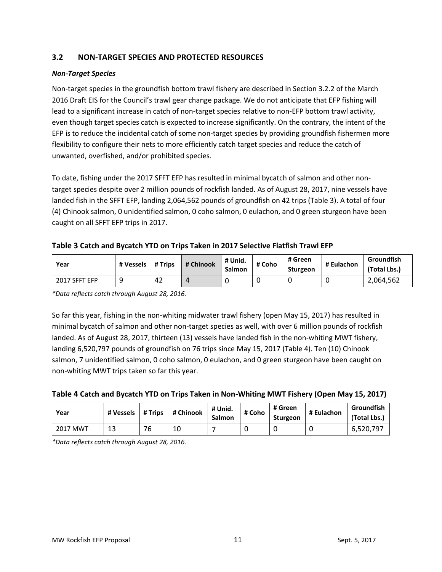# <span id="page-12-0"></span>**3.2 NON-TARGET SPECIES AND PROTECTED RESOURCES**

#### *Non-Target Species*

Non-target species in the groundfish bottom trawl fishery are described in Section 3.2.2 of the March 2016 Draft EIS for the Council's trawl gear change package. We do not anticipate that EFP fishing will lead to a significant increase in catch of non-target species relative to non-EFP bottom trawl activity, even though target species catch is expected to increase significantly. On the contrary, the intent of the EFP is to reduce the incidental catch of some non-target species by providing groundfish fishermen more flexibility to configure their nets to more efficiently catch target species and reduce the catch of unwanted, overfished, and/or prohibited species.

To date, fishing under the 2017 SFFT EFP has resulted in minimal bycatch of salmon and other nontarget species despite over 2 million pounds of rockfish landed. As of August 28, 2017, nine vessels have landed fish in the SFFT EFP, landing 2,064,562 pounds of groundfish on 42 trips [\(Table 3\)](#page-12-1). A total of four (4) Chinook salmon, 0 unidentified salmon, 0 coho salmon, 0 eulachon, and 0 green sturgeon have been caught on all SFFT EFP trips in 2017.

## <span id="page-12-1"></span>**Table 3 Catch and Bycatch YTD on Trips Taken in 2017 Selective Flatfish Trawl EFP**

| Year          | # Vessels | # Trips | # Chinook | # Unid.<br>Salmon | # Coho | # Green<br>Sturgeon | # Eulachon | Groundfish<br>(Total Lbs.) |
|---------------|-----------|---------|-----------|-------------------|--------|---------------------|------------|----------------------------|
| 2017 SFFT EFP |           | 42      |           | ◡                 | u      |                     |            | 2,064,562                  |

*\*Data reflects catch through August 28, 2016.*

So far this year, fishing in the non-whiting midwater trawl fishery (open May 15, 2017) has resulted in minimal bycatch of salmon and other non-target species as well, with over 6 million pounds of rockfish landed. As of August 28, 2017, thirteen (13) vessels have landed fish in the non-whiting MWT fishery, landing 6,520,797 pounds of groundfish on 76 trips since May 15, 2017 [\(Table 4\)](#page-12-2). Ten (10) Chinook salmon, 7 unidentified salmon, 0 coho salmon, 0 eulachon, and 0 green sturgeon have been caught on non-whiting MWT trips taken so far this year.

<span id="page-12-2"></span>

| Table 4 Catch and Bycatch YTD on Trips Taken in Non-Whiting MWT Fishery (Open May 15, 2017) |  |  |
|---------------------------------------------------------------------------------------------|--|--|
|---------------------------------------------------------------------------------------------|--|--|

| Year     | # Vessels | # Trips | # Chinook | # Unid.<br>Salmon | # Coho | # Green<br>Sturgeon | # Eulachon | Groundfish<br>(Total Lbs.) |
|----------|-----------|---------|-----------|-------------------|--------|---------------------|------------|----------------------------|
| 2017 MWT | 13        | 76      | 10        |                   |        |                     |            | 6.520.797                  |

*\*Data reflects catch through August 28, 2016.*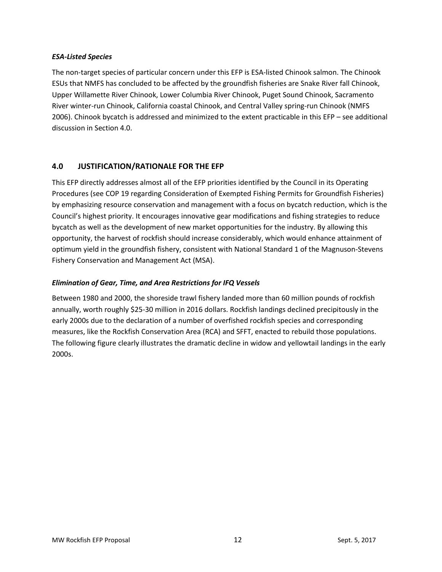#### *ESA-Listed Species*

The non-target species of particular concern under this EFP is ESA-listed Chinook salmon. The Chinook ESUs that NMFS has concluded to be affected by the groundfish fisheries are Snake River fall Chinook, Upper Willamette River Chinook, Lower Columbia River Chinook, Puget Sound Chinook, Sacramento River winter-run Chinook, California coastal Chinook, and Central Valley spring-run Chinook (NMFS 2006). Chinook bycatch is addressed and minimized to the extent practicable in this EFP – see additional discussion in Sectio[n 4.0.](#page-13-0)

## <span id="page-13-0"></span>**4.0 JUSTIFICATION/RATIONALE FOR THE EFP**

This EFP directly addresses almost all of the EFP priorities identified by the Council in its Operating Procedures (see [COP 19 regarding Consideration of Exempted Fishing Permits for Groundfish Fisheries\)](http://www.pcouncil.org/wp-content/uploads/cop19.pdf) by emphasizing resource conservation and management with a focus on bycatch reduction, which is the Council's highest priority. It encourages innovative gear modifications and fishing strategies to reduce bycatch as well as the development of new market opportunities for the industry. By allowing this opportunity, the harvest of rockfish should increase considerably, which would enhance attainment of optimum yield in the groundfish fishery, consistent with National Standard 1 of the Magnuson-Stevens Fishery Conservation and Management Act (MSA).

#### *Elimination of Gear, Time, and Area Restrictions for IFQ Vessels*

Between 1980 and 2000, the shoreside trawl fishery landed more than 60 million pounds of rockfish annually, worth roughly \$25-30 million in 2016 dollars. Rockfish landings declined precipitously in the early 2000s due to the declaration of a number of overfished rockfish species and corresponding measures, like the Rockfish Conservation Area (RCA) and SFFT, enacted to rebuild those populations. The following figure clearly illustrates the dramatic decline in widow and yellowtail landings in the early 2000s.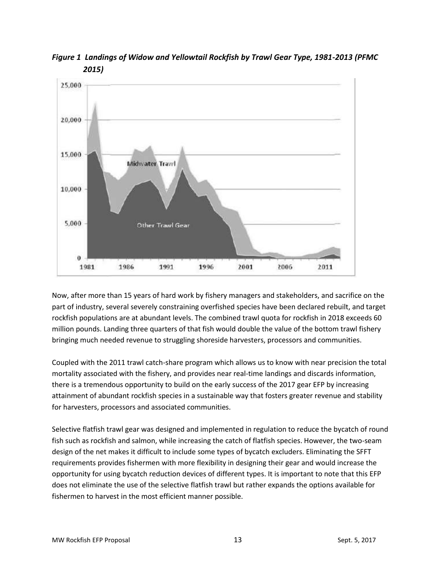

*Figure 1 Landings of Widow and Yellowtail Rockfish by Trawl Gear Type, 1981-2013 (PFMC 2015)*

Now, after more than 15 years of hard work by fishery managers and stakeholders, and sacrifice on the part of industry, several severely constraining overfished species have been declared rebuilt, and target rockfish populations are at abundant levels. The combined trawl quota for rockfish in 2018 exceeds 60 million pounds. Landing three quarters of that fish would double the value of the bottom trawl fishery bringing much needed revenue to struggling shoreside harvesters, processors and communities.

Coupled with the 2011 trawl catch-share program which allows us to know with near precision the total mortality associated with the fishery, and provides near real-time landings and discards information, there is a tremendous opportunity to build on the early success of the 2017 gear EFP by increasing attainment of abundant rockfish species in a sustainable way that fosters greater revenue and stability for harvesters, processors and associated communities.

Selective flatfish trawl gear was designed and implemented in regulation to reduce the bycatch of round fish such as rockfish and salmon, while increasing the catch of flatfish species. However, the two-seam design of the net makes it difficult to include some types of bycatch excluders. Eliminating the SFFT requirements provides fishermen with more flexibility in designing their gear and would increase the opportunity for using bycatch reduction devices of different types. It is important to note that this EFP does not eliminate the use of the selective flatfish trawl but rather expands the options available for fishermen to harvest in the most efficient manner possible.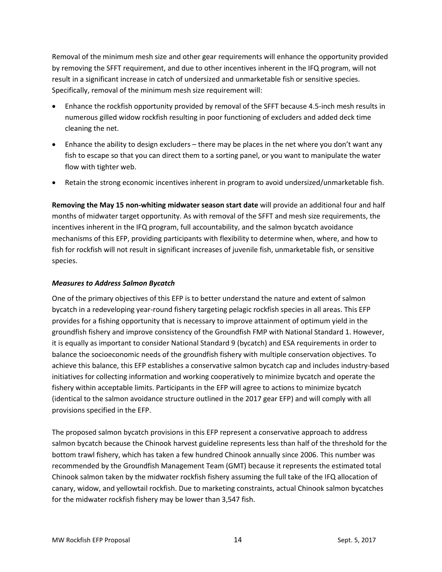Removal of the minimum mesh size and other gear requirements will enhance the opportunity provided by removing the SFFT requirement, and due to other incentives inherent in the IFQ program, will not result in a significant increase in catch of undersized and unmarketable fish or sensitive species. Specifically, removal of the minimum mesh size requirement will:

- Enhance the rockfish opportunity provided by removal of the SFFT because 4.5-inch mesh results in numerous gilled widow rockfish resulting in poor functioning of excluders and added deck time cleaning the net.
- Enhance the ability to design excluders there may be places in the net where you don't want any fish to escape so that you can direct them to a sorting panel, or you want to manipulate the water flow with tighter web.
- Retain the strong economic incentives inherent in program to avoid undersized/unmarketable fish.

**Removing the May 15 non-whiting midwater season start date** will provide an additional four and half months of midwater target opportunity. As with removal of the SFFT and mesh size requirements, the incentives inherent in the IFQ program, full accountability, and the salmon bycatch avoidance mechanisms of this EFP, providing participants with flexibility to determine when, where, and how to fish for rockfish will not result in significant increases of juvenile fish, unmarketable fish, or sensitive species.

#### *Measures to Address Salmon Bycatch*

One of the primary objectives of this EFP is to better understand the nature and extent of salmon bycatch in a redeveloping year-round fishery targeting pelagic rockfish species in all areas. This EFP provides for a fishing opportunity that is necessary to improve attainment of optimum yield in the groundfish fishery and improve consistency of the Groundfish FMP with National Standard 1. However, it is equally as important to consider National Standard 9 (bycatch) and ESA requirements in order to balance the socioeconomic needs of the groundfish fishery with multiple conservation objectives. To achieve this balance, this EFP establishes a conservative salmon bycatch cap and includes industry-based initiatives for collecting information and working cooperatively to minimize bycatch and operate the fishery within acceptable limits. Participants in the EFP will agree to actions to minimize bycatch (identical to the salmon avoidance structure outlined in the 2017 gear EFP) and will comply with all provisions specified in the EFP.

The proposed salmon bycatch provisions in this EFP represent a conservative approach to address salmon bycatch because the Chinook harvest guideline represents less than half of the threshold for the bottom trawl fishery, which has taken a few hundred Chinook annually since 2006. This number was recommended by the Groundfish Management Team (GMT) because it represents the estimated total Chinook salmon taken by the midwater rockfish fishery assuming the full take of the IFQ allocation of canary, widow, and yellowtail rockfish. Due to marketing constraints, actual Chinook salmon bycatches for the midwater rockfish fishery may be lower than 3,547 fish.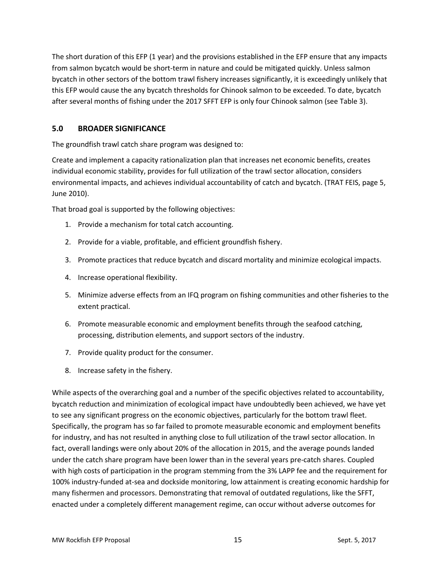The short duration of this EFP (1 year) and the provisions established in the EFP ensure that any impacts from salmon bycatch would be short-term in nature and could be mitigated quickly. Unless salmon bycatch in other sectors of the bottom trawl fishery increases significantly, it is exceedingly unlikely that this EFP would cause the any bycatch thresholds for Chinook salmon to be exceeded. To date, bycatch after several months of fishing under the 2017 SFFT EFP is only four Chinook salmon (see [Table 3\)](#page-12-1).

# <span id="page-16-0"></span>**5.0 BROADER SIGNIFICANCE**

The groundfish trawl catch share program was designed to:

Create and implement a capacity rationalization plan that increases net economic benefits, creates individual economic stability, provides for full utilization of the trawl sector allocation, considers environmental impacts, and achieves individual accountability of catch and bycatch. (TRAT FEIS, page 5, June 2010).

That broad goal is supported by the following objectives:

- 1. Provide a mechanism for total catch accounting.
- 2. Provide for a viable, profitable, and efficient groundfish fishery.
- 3. Promote practices that reduce bycatch and discard mortality and minimize ecological impacts.
- 4. Increase operational flexibility.
- 5. Minimize adverse effects from an IFQ program on fishing communities and other fisheries to the extent practical.
- 6. Promote measurable economic and employment benefits through the seafood catching, processing, distribution elements, and support sectors of the industry.
- 7. Provide quality product for the consumer.
- 8. Increase safety in the fishery.

While aspects of the overarching goal and a number of the specific objectives related to accountability, bycatch reduction and minimization of ecological impact have undoubtedly been achieved, we have yet to see any significant progress on the economic objectives, particularly for the bottom trawl fleet. Specifically, the program has so far failed to promote measurable economic and employment benefits for industry, and has not resulted in anything close to full utilization of the trawl sector allocation. In fact, overall landings were only about 20% of the allocation in 2015, and the average pounds landed under the catch share program have been lower than in the several years pre-catch shares. Coupled with high costs of participation in the program stemming from the 3% LAPP fee and the requirement for 100% industry-funded at-sea and dockside monitoring, low attainment is creating economic hardship for many fishermen and processors. Demonstrating that removal of outdated regulations, like the SFFT, enacted under a completely different management regime, can occur without adverse outcomes for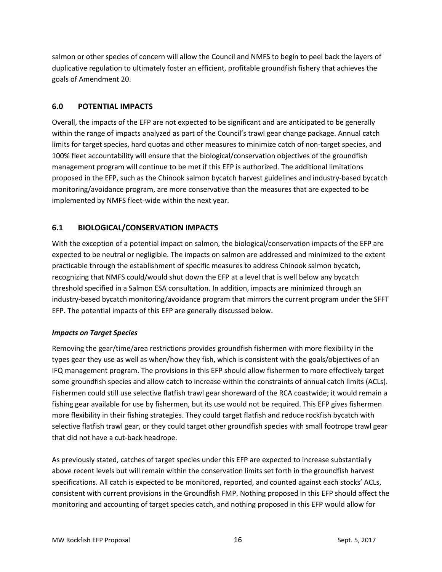salmon or other species of concern will allow the Council and NMFS to begin to peel back the layers of duplicative regulation to ultimately foster an efficient, profitable groundfish fishery that achieves the goals of Amendment 20.

## <span id="page-17-0"></span>**6.0 POTENTIAL IMPACTS**

Overall, the impacts of the EFP are not expected to be significant and are anticipated to be generally within the range of impacts analyzed as part of the Council's trawl gear change package. Annual catch limits for target species, hard quotas and other measures to minimize catch of non-target species, and 100% fleet accountability will ensure that the biological/conservation objectives of the groundfish management program will continue to be met if this EFP is authorized. The additional limitations proposed in the EFP, such as the Chinook salmon bycatch harvest guidelines and industry-based bycatch monitoring/avoidance program, are more conservative than the measures that are expected to be implemented by NMFS fleet-wide within the next year.

## <span id="page-17-1"></span>**6.1 BIOLOGICAL/CONSERVATION IMPACTS**

With the exception of a potential impact on salmon, the biological/conservation impacts of the EFP are expected to be neutral or negligible. The impacts on salmon are addressed and minimized to the extent practicable through the establishment of specific measures to address Chinook salmon bycatch, recognizing that NMFS could/would shut down the EFP at a level that is well below any bycatch threshold specified in a Salmon ESA consultation. In addition, impacts are minimized through an industry-based bycatch monitoring/avoidance program that mirrors the current program under the SFFT EFP. The potential impacts of this EFP are generally discussed below.

#### *Impacts on Target Species*

Removing the gear/time/area restrictions provides groundfish fishermen with more flexibility in the types gear they use as well as when/how they fish, which is consistent with the goals/objectives of an IFQ management program. The provisions in this EFP should allow fishermen to more effectively target some groundfish species and allow catch to increase within the constraints of annual catch limits (ACLs). Fishermen could still use selective flatfish trawl gear shoreward of the RCA coastwide; it would remain a fishing gear available for use by fishermen, but its use would not be required. This EFP gives fishermen more flexibility in their fishing strategies. They could target flatfish and reduce rockfish bycatch with selective flatfish trawl gear, or they could target other groundfish species with small footrope trawl gear that did not have a cut-back headrope.

As previously stated, catches of target species under this EFP are expected to increase substantially above recent levels but will remain within the conservation limits set forth in the groundfish harvest specifications. All catch is expected to be monitored, reported, and counted against each stocks' ACLs, consistent with current provisions in the Groundfish FMP. Nothing proposed in this EFP should affect the monitoring and accounting of target species catch, and nothing proposed in this EFP would allow for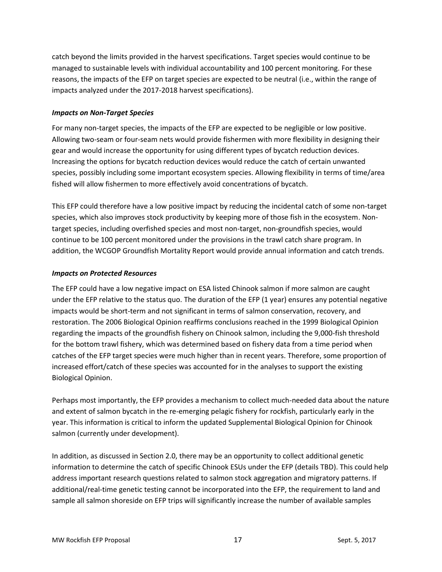catch beyond the limits provided in the harvest specifications. Target species would continue to be managed to sustainable levels with individual accountability and 100 percent monitoring. For these reasons, the impacts of the EFP on target species are expected to be neutral (i.e., within the range of impacts analyzed under the 2017-2018 harvest specifications).

#### *Impacts on Non-Target Species*

For many non-target species, the impacts of the EFP are expected to be negligible or low positive. Allowing two-seam or four-seam nets would provide fishermen with more flexibility in designing their gear and would increase the opportunity for using different types of bycatch reduction devices. Increasing the options for bycatch reduction devices would reduce the catch of certain unwanted species, possibly including some important ecosystem species. Allowing flexibility in terms of time/area fished will allow fishermen to more effectively avoid concentrations of bycatch.

This EFP could therefore have a low positive impact by reducing the incidental catch of some non-target species, which also improves stock productivity by keeping more of those fish in the ecosystem. Nontarget species, including overfished species and most non-target, non-groundfish species, would continue to be 100 percent monitored under the provisions in the trawl catch share program. In addition, the WCGOP Groundfish Mortality Report would provide annual information and catch trends.

#### *Impacts on Protected Resources*

The EFP could have a low negative impact on ESA listed Chinook salmon if more salmon are caught under the EFP relative to the status quo. The duration of the EFP (1 year) ensures any potential negative impacts would be short-term and not significant in terms of salmon conservation, recovery, and restoration. The 2006 Biological Opinion reaffirms conclusions reached in the 1999 Biological Opinion regarding the impacts of the groundfish fishery on Chinook salmon, including the 9,000-fish threshold for the bottom trawl fishery, which was determined based on fishery data from a time period when catches of the EFP target species were much higher than in recent years. Therefore, some proportion of increased effort/catch of these species was accounted for in the analyses to support the existing Biological Opinion.

Perhaps most importantly, the EFP provides a mechanism to collect much-needed data about the nature and extent of salmon bycatch in the re-emerging pelagic fishery for rockfish, particularly early in the year. This information is critical to inform the updated Supplemental Biological Opinion for Chinook salmon (currently under development).

In addition, as discussed in Section [2.0,](#page-3-0) there may be an opportunity to collect additional genetic information to determine the catch of specific Chinook ESUs under the EFP (details TBD). This could help address important research questions related to salmon stock aggregation and migratory patterns. If additional/real-time genetic testing cannot be incorporated into the EFP, the requirement to land and sample all salmon shoreside on EFP trips will significantly increase the number of available samples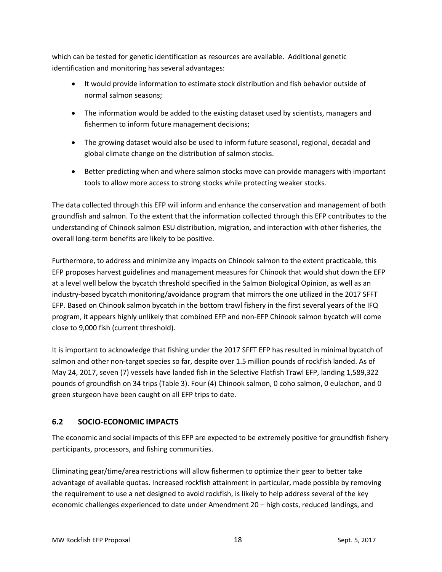which can be tested for genetic identification as resources are available. Additional genetic identification and monitoring has several advantages:

- It would provide information to estimate stock distribution and fish behavior outside of normal salmon seasons;
- The information would be added to the existing dataset used by scientists, managers and fishermen to inform future management decisions;
- The growing dataset would also be used to inform future seasonal, regional, decadal and global climate change on the distribution of salmon stocks.
- Better predicting when and where salmon stocks move can provide managers with important tools to allow more access to strong stocks while protecting weaker stocks.

The data collected through this EFP will inform and enhance the conservation and management of both groundfish and salmon. To the extent that the information collected through this EFP contributes to the understanding of Chinook salmon ESU distribution, migration, and interaction with other fisheries, the overall long-term benefits are likely to be positive.

Furthermore, to address and minimize any impacts on Chinook salmon to the extent practicable, this EFP proposes harvest guidelines and management measures for Chinook that would shut down the EFP at a level well below the bycatch threshold specified in the Salmon Biological Opinion, as well as an industry-based bycatch monitoring/avoidance program that mirrors the one utilized in the 2017 SFFT EFP. Based on Chinook salmon bycatch in the bottom trawl fishery in the first several years of the IFQ program, it appears highly unlikely that combined EFP and non-EFP Chinook salmon bycatch will come close to 9,000 fish (current threshold).

It is important to acknowledge that fishing under the 2017 SFFT EFP has resulted in minimal bycatch of salmon and other non-target species so far, despite over 1.5 million pounds of rockfish landed. As of May 24, 2017, seven (7) vessels have landed fish in the Selective Flatfish Trawl EFP, landing 1,589,322 pounds of groundfish on 34 trips [\(Table 3\)](#page-12-1). Four (4) Chinook salmon, 0 coho salmon, 0 eulachon, and 0 green sturgeon have been caught on all EFP trips to date.

# <span id="page-19-0"></span>**6.2 SOCIO-ECONOMIC IMPACTS**

The economic and social impacts of this EFP are expected to be extremely positive for groundfish fishery participants, processors, and fishing communities.

Eliminating gear/time/area restrictions will allow fishermen to optimize their gear to better take advantage of available quotas. Increased rockfish attainment in particular, made possible by removing the requirement to use a net designed to avoid rockfish, is likely to help address several of the key economic challenges experienced to date under Amendment 20 – high costs, reduced landings, and